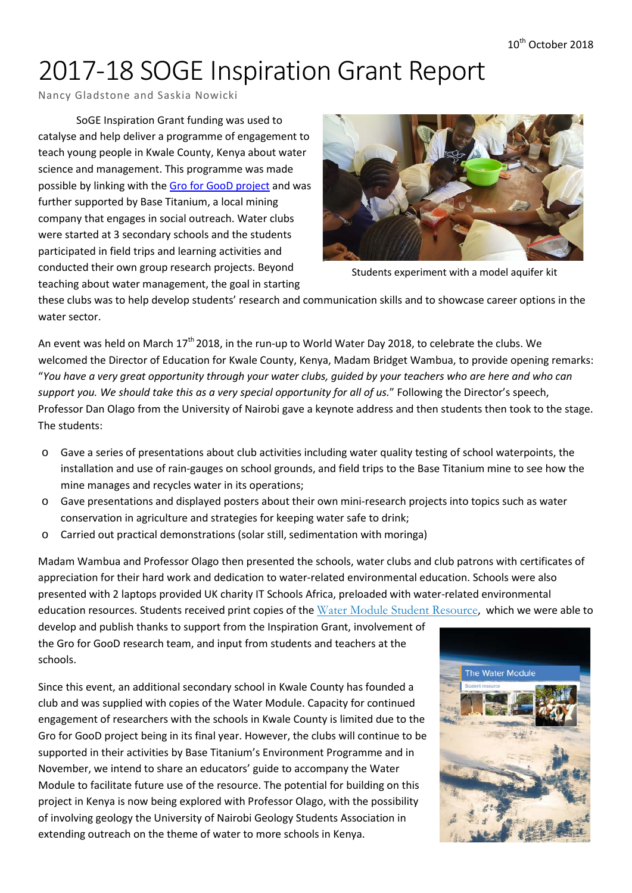# 2017-18 SOGE Inspiration Grant Report

Nancy Gladstone and Saskia Nowicki

SoGE Inspiration Grant funding was used to catalyse and help deliver a programme of engagement to teach young people in Kwale County, Kenya about water science and management. This programme was made possible by linking with the [Gro for GooD project](https://upgro.org/consortium/gro-for-good/) and was further supported by Base Titanium, a local mining company that engages in social outreach. Water clubs were started at 3 secondary schools and the students participated in field trips and learning activities and conducted their own group research projects. Beyond teaching about water management, the goal in starting



Students experiment with a model aquifer kit

these clubs was to help develop students' research and communication skills and to showcase career options in the water sector.

An event was held on March  $17<sup>th</sup>$  2018, in the run-up to World Water Day 2018, to celebrate the clubs. We welcomed the Director of Education for Kwale County, Kenya, Madam Bridget Wambua, to provide opening remarks: "You have a very great opportunity through your water clubs, guided by your teachers who are here and who can *support you. We should take this as a very special opportunity for all of us.*" Following the Director's speech, Professor Dan Olago from the University of Nairobi gave a keynote address and then students then took to the stage. The students:

- o Gave a series of presentations about club activities including water quality testing of school waterpoints, the installation and use of rain-gauges on school grounds, and field trips to the Base Titanium mine to see how the mine manages and recycles water in its operations;
- o Gave presentations and displayed posters about their own mini-research projects into topics such as water conservation in agriculture and strategies for keeping water safe to drink;
- o Carried out practical demonstrations (solar still, sedimentation with moringa)

Madam Wambua and Professor Olago then presented the schools, water clubs and club patrons with certificates of appreciation for their hard work and dedication to water-related environmental education. Schools were also presented with 2 laptops provided UK charity IT Schools Africa, preloaded with water-related environmental education resources. Students received print copies of the Water Module Student [Resource](https://upgro.files.wordpress.com/2018/03/water-module-student-resource-web.pdf), which we were able to

develop and publish thanks to support from the Inspiration Grant, involvement of the Gro for GooD research team, and input from students and teachers at the schools.

Since this event, an additional secondary school in Kwale County has founded a club and was supplied with copies of the Water Module. Capacity for continued engagement of researchers with the schools in Kwale County is limited due to the Gro for GooD project being in its final year. However, the clubs will continue to be supported in their activities by Base Titanium's Environment Programme and in November, we intend to share an educators' guide to accompany the Water Module to facilitate future use of the resource. The potential for building on this project in Kenya is now being explored with Professor Olago, with the possibility of involving geology the University of Nairobi Geology Students Association in extending outreach on the theme of water to more schools in Kenya.

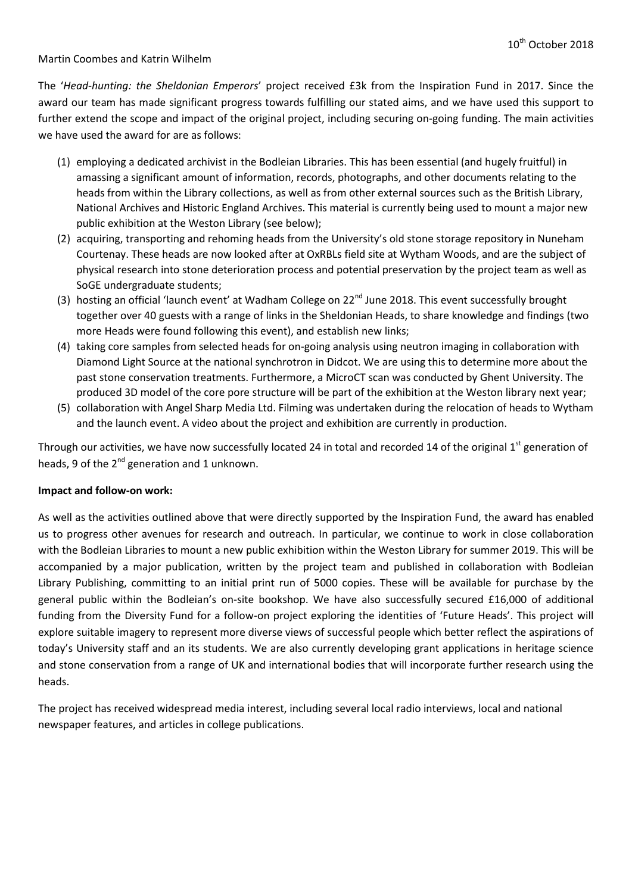#### Martin Coombes and Katrin Wilhelm

The '*Head-hunting: the Sheldonian Emperors*' project received £3k from the Inspiration Fund in 2017. Since the award our team has made significant progress towards fulfilling our stated aims, and we have used this support to further extend the scope and impact of the original project, including securing on-going funding. The main activities we have used the award for are as follows:

- (1) employing a dedicated archivist in the Bodleian Libraries. This has been essential (and hugely fruitful) in amassing a significant amount of information, records, photographs, and other documents relating to the heads from within the Library collections, as well as from other external sources such as the British Library, National Archives and Historic England Archives. This material is currently being used to mount a major new public exhibition at the Weston Library (see below);
- (2) acquiring, transporting and rehoming heads from the University's old stone storage repository in Nuneham Courtenay. These heads are now looked after at OxRBLs field site at Wytham Woods, and are the subject of physical research into stone deterioration process and potential preservation by the project team as well as SoGE undergraduate students;
- (3) hosting an official 'launch event' at Wadham College on  $22^{nd}$  June 2018. This event successfully brought together over 40 guests with a range of links in the Sheldonian Heads, to share knowledge and findings (two more Heads were found following this event), and establish new links;
- (4) taking core samples from selected heads for on-going analysis using neutron imaging in collaboration with Diamond Light Source at the national synchrotron in Didcot. We are using this to determine more about the past stone conservation treatments. Furthermore, a MicroCT scan was conducted by Ghent University. The produced 3D model of the core pore structure will be part of the exhibition at the Weston library next year;
- (5) collaboration with Angel Sharp Media Ltd. Filming was undertaken during the relocation of heads to Wytham and the launch event. A video about the project and exhibition are currently in production.

Through our activities, we have now successfully located 24 in total and recorded 14 of the original 1<sup>st</sup> generation of heads, 9 of the  $2^{nd}$  generation and 1 unknown.

#### **Impact and follow-on work:**

As well as the activities outlined above that were directly supported by the Inspiration Fund, the award has enabled us to progress other avenues for research and outreach. In particular, we continue to work in close collaboration with the Bodleian Libraries to mount a new public exhibition within the Weston Library for summer 2019. This will be accompanied by a major publication, written by the project team and published in collaboration with Bodleian Library Publishing, committing to an initial print run of 5000 copies. These will be available for purchase by the general public within the Bodleian's on-site bookshop. We have also successfully secured £16,000 of additional funding from the Diversity Fund for a follow-on project exploring the identities of 'Future Heads'. This project will explore suitable imagery to represent more diverse views of successful people which better reflect the aspirations of today's University staff and an its students. We are also currently developing grant applications in heritage science and stone conservation from a range of UK and international bodies that will incorporate further research using the heads.

The project has received widespread media interest, including several local radio interviews, local and national newspaper features, and articles in college publications.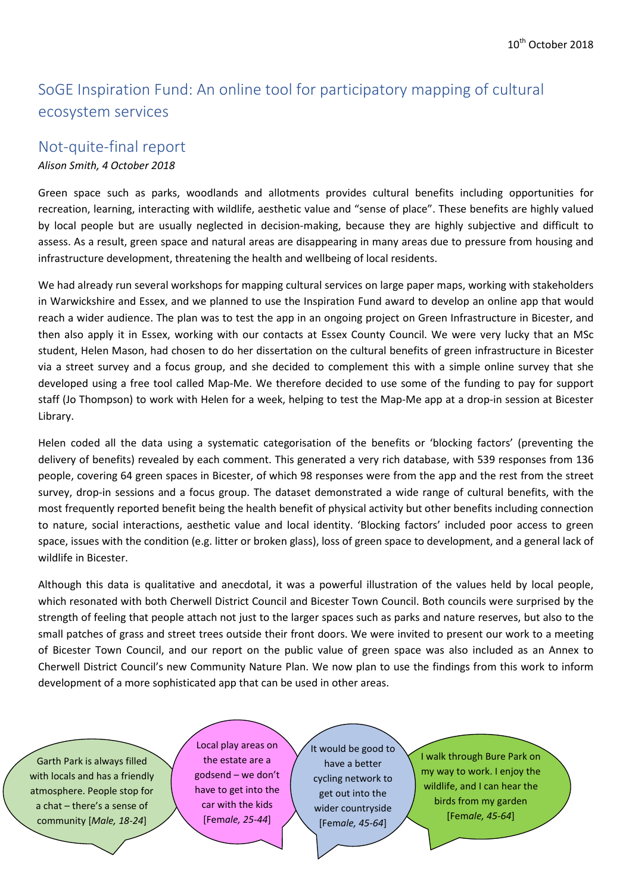# SoGE Inspiration Fund: An online tool for participatory mapping of cultural ecosystem services

# Not-quite-final report

# *Alison Smith, 4 October 2018*

Green space such as parks, woodlands and allotments provides cultural benefits including opportunities for recreation, learning, interacting with wildlife, aesthetic value and "sense of place". These benefits are highly valued by local people but are usually neglected in decision-making, because they are highly subjective and difficult to assess. As a result, green space and natural areas are disappearing in many areas due to pressure from housing and infrastructure development, threatening the health and wellbeing of local residents.

We had already run several workshops for mapping cultural services on large paper maps, working with stakeholders in Warwickshire and Essex, and we planned to use the Inspiration Fund award to develop an online app that would reach a wider audience. The plan was to test the app in an ongoing project on Green Infrastructure in Bicester, and then also apply it in Essex, working with our contacts at Essex County Council. We were very lucky that an MSc student, Helen Mason, had chosen to do her dissertation on the cultural benefits of green infrastructure in Bicester via a street survey and a focus group, and she decided to complement this with a simple online survey that she developed using a free tool called Map-Me. We therefore decided to use some of the funding to pay for support staff (Jo Thompson) to work with Helen for a week, helping to test the Map-Me app at a drop-in session at Bicester Library.

Helen coded all the data using a systematic categorisation of the benefits or 'blocking factors' (preventing the delivery of benefits) revealed by each comment. This generated a very rich database, with 539 responses from 136 people, covering 64 green spaces in Bicester, of which 98 responses were from the app and the rest from the street survey, drop-in sessions and a focus group. The dataset demonstrated a wide range of cultural benefits, with the most frequently reported benefit being the health benefit of physical activity but other benefits including connection to nature, social interactions, aesthetic value and local identity. 'Blocking factors' included poor access to green space, issues with the condition (e.g. litter or broken glass), loss of green space to development, and a general lack of wildlife in Bicester.

Although this data is qualitative and anecdotal, it was a powerful illustration of the values held by local people, which resonated with both Cherwell District Council and Bicester Town Council. Both councils were surprised by the strength of feeling that people attach not just to the larger spaces such as parks and nature reserves, but also to the small patches of grass and street trees outside their front doors. We were invited to present our work to a meeting of Bicester Town Council, and our report on the public value of green space was also included as an Annex to Cherwell District Council's new Community Nature Plan. We now plan to use the findings from this work to inform development of a more sophisticated app that can be used in other areas.

Garth Park is always filled with locals and has a friendly atmosphere. People stop for a chat – there's a sense of community [*Male, 18-24*]

Local play areas on the estate are a godsend – we don't have to get into the car with the kids [Fem*ale, 25-44*]

It would be good to have a better cycling network to get out into the wider countryside [Fem*ale, 45-64*]

I walk through Bure Park on my way to work. I enjoy the wildlife, and I can hear the birds from my garden [Fem*ale, 45-64*]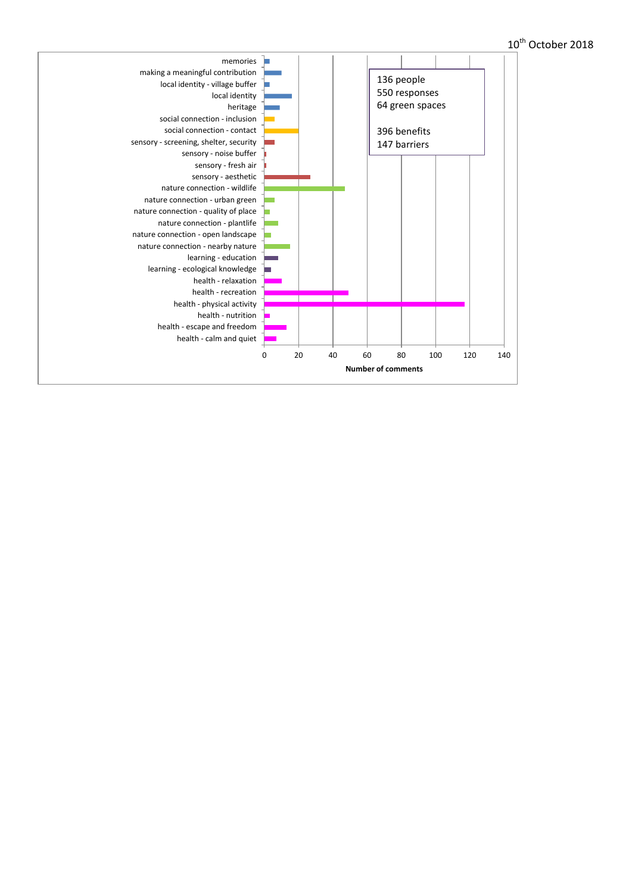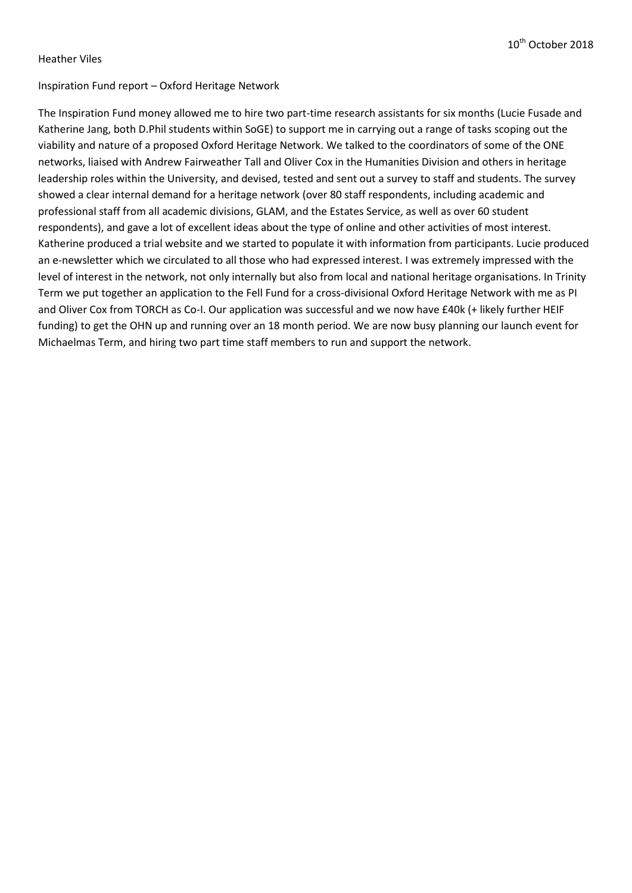#### Heather Viles

### Inspiration Fund report – Oxford Heritage Network

The Inspiration Fund money allowed me to hire two part-time research assistants for six months (Lucie Fusade and Katherine Jang, both D.Phil students within SoGE) to support me in carrying out a range of tasks scoping out the viability and nature of a proposed Oxford Heritage Network. We talked to the coordinators of some of the ONE networks, liaised with Andrew Fairweather Tall and Oliver Cox in the Humanities Division and others in heritage leadership roles within the University, and devised, tested and sent out a survey to staff and students. The survey showed a clear internal demand for a heritage network (over 80 staff respondents, including academic and professional staff from all academic divisions, GLAM, and the Estates Service, as well as over 60 student respondents), and gave a lot of excellent ideas about the type of online and other activities of most interest. Katherine produced a trial website and we started to populate it with information from participants. Lucie produced an e-newsletter which we circulated to all those who had expressed interest. I was extremely impressed with the level of interest in the network, not only internally but also from local and national heritage organisations. In Trinity Term we put together an application to the Fell Fund for a cross-divisional Oxford Heritage Network with me as PI and Oliver Cox from TORCH as Co-I. Our application was successful and we now have £40k (+ likely further HEIF funding) to get the OHN up and running over an 18 month period. We are now busy planning our launch event for Michaelmas Term, and hiring two part time staff members to run and support the network.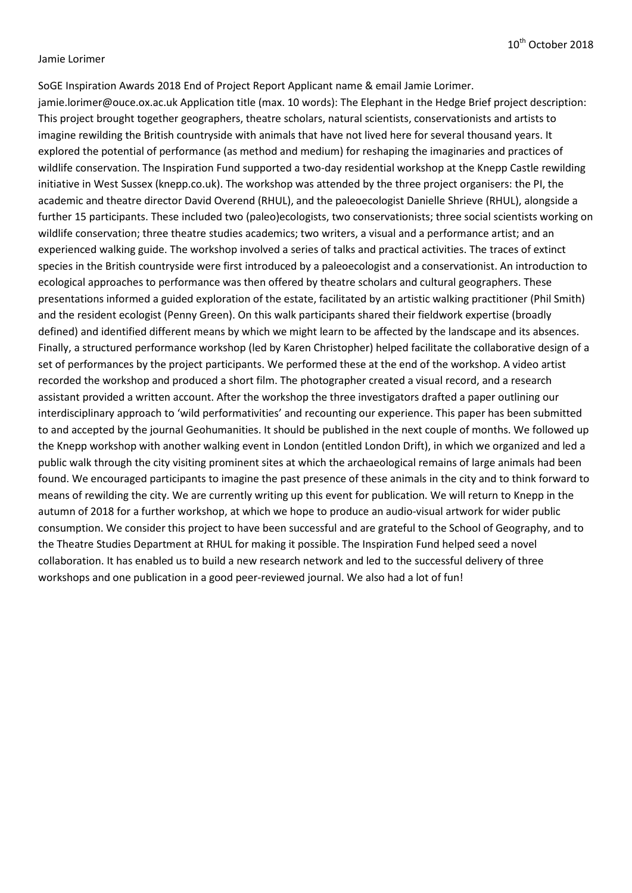#### Jamie Lorimer

SoGE Inspiration Awards 2018 End of Project Report Applicant name & email Jamie Lorimer. jamie.lorimer@ouce.ox.ac.uk Application title (max. 10 words): The Elephant in the Hedge Brief project description: This project brought together geographers, theatre scholars, natural scientists, conservationists and artists to imagine rewilding the British countryside with animals that have not lived here for several thousand years. It explored the potential of performance (as method and medium) for reshaping the imaginaries and practices of wildlife conservation. The Inspiration Fund supported a two-day residential workshop at the Knepp Castle rewilding initiative in West Sussex (knepp.co.uk). The workshop was attended by the three project organisers: the PI, the academic and theatre director David Overend (RHUL), and the paleoecologist Danielle Shrieve (RHUL), alongside a further 15 participants. These included two (paleo)ecologists, two conservationists; three social scientists working on wildlife conservation; three theatre studies academics; two writers, a visual and a performance artist; and an experienced walking guide. The workshop involved a series of talks and practical activities. The traces of extinct species in the British countryside were first introduced by a paleoecologist and a conservationist. An introduction to ecological approaches to performance was then offered by theatre scholars and cultural geographers. These presentations informed a guided exploration of the estate, facilitated by an artistic walking practitioner (Phil Smith) and the resident ecologist (Penny Green). On this walk participants shared their fieldwork expertise (broadly defined) and identified different means by which we might learn to be affected by the landscape and its absences. Finally, a structured performance workshop (led by Karen Christopher) helped facilitate the collaborative design of a set of performances by the project participants. We performed these at the end of the workshop. A video artist recorded the workshop and produced a short film. The photographer created a visual record, and a research assistant provided a written account. After the workshop the three investigators drafted a paper outlining our interdisciplinary approach to 'wild performativities' and recounting our experience. This paper has been submitted to and accepted by the journal Geohumanities. It should be published in the next couple of months. We followed up the Knepp workshop with another walking event in London (entitled London Drift), in which we organized and led a public walk through the city visiting prominent sites at which the archaeological remains of large animals had been found. We encouraged participants to imagine the past presence of these animals in the city and to think forward to means of rewilding the city. We are currently writing up this event for publication. We will return to Knepp in the autumn of 2018 for a further workshop, at which we hope to produce an audio-visual artwork for wider public consumption. We consider this project to have been successful and are grateful to the School of Geography, and to the Theatre Studies Department at RHUL for making it possible. The Inspiration Fund helped seed a novel collaboration. It has enabled us to build a new research network and led to the successful delivery of three workshops and one publication in a good peer-reviewed journal. We also had a lot of fun!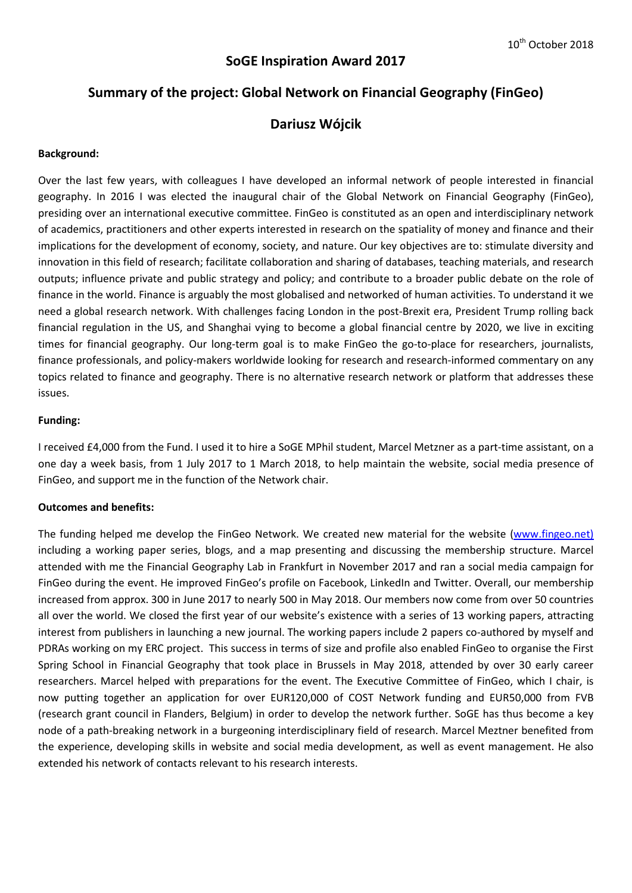# **SoGE Inspiration Award 2017**

# **Summary of the project: Global Network on Financial Geography (FinGeo)**

## **Dariusz Wójcik**

#### **Background:**

Over the last few years, with colleagues I have developed an informal network of people interested in financial geography. In 2016 I was elected the inaugural chair of the Global Network on Financial Geography (FinGeo), presiding over an international executive committee. FinGeo is constituted as an open and interdisciplinary network of academics, practitioners and other experts interested in research on the spatiality of money and finance and their implications for the development of economy, society, and nature. Our key objectives are to: stimulate diversity and innovation in this field of research; facilitate collaboration and sharing of databases, teaching materials, and research outputs; influence private and public strategy and policy; and contribute to a broader public debate on the role of finance in the world. Finance is arguably the most globalised and networked of human activities. To understand it we need a global research network. With challenges facing London in the post-Brexit era, President Trump rolling back financial regulation in the US, and Shanghai vying to become a global financial centre by 2020, we live in exciting times for financial geography. Our long-term goal is to make FinGeo the go-to-place for researchers, journalists, finance professionals, and policy-makers worldwide looking for research and research-informed commentary on any topics related to finance and geography. There is no alternative research network or platform that addresses these issues.

#### **Funding:**

I received £4,000 from the Fund. I used it to hire a SoGE MPhil student, Marcel Metzner as a part-time assistant, on a one day a week basis, from 1 July 2017 to 1 March 2018, to help maintain the website, social media presence of FinGeo, and support me in the function of the Network chair.

#### **Outcomes and benefits:**

The funding helped me develop the FinGeo Network. We created new material for the website [\(www.fingeo.net\)](http://www.fingeo.net)/) including a working paper series, blogs, and a map presenting and discussing the membership structure. Marcel attended with me the Financial Geography Lab in Frankfurt in November 2017 and ran a social media campaign for FinGeo during the event. He improved FinGeo's profile on Facebook, LinkedIn and Twitter. Overall, our membership increased from approx. 300 in June 2017 to nearly 500 in May 2018. Our members now come from over 50 countries all over the world. We closed the first year of our website's existence with a series of 13 working papers, attracting interest from publishers in launching a new journal. The working papers include 2 papers co-authored by myself and PDRAs working on my ERC project. This success in terms of size and profile also enabled FinGeo to organise the First Spring School in Financial Geography that took place in Brussels in May 2018, attended by over 30 early career researchers. Marcel helped with preparations for the event. The Executive Committee of FinGeo, which I chair, is now putting together an application for over EUR120,000 of COST Network funding and EUR50,000 from FVB (research grant council in Flanders, Belgium) in order to develop the network further. SoGE has thus become a key node of a path-breaking network in a burgeoning interdisciplinary field of research. Marcel Meztner benefited from the experience, developing skills in website and social media development, as well as event management. He also extended his network of contacts relevant to his research interests.